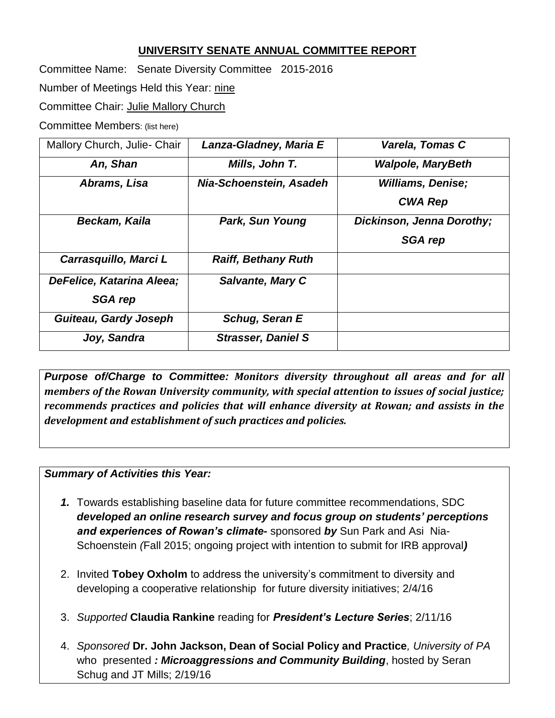### **UNIVERSITY SENATE ANNUAL COMMITTEE REPORT**

Committee Name: Senate Diversity Committee2015-2016

Number of Meetings Held this Year: nine

Committee Chair: Julie Mallory Church

Committee Members: (list here)

| Mallory Church, Julie- Chair | Lanza-Gladney, Maria E     | Varela, Tomas C           |
|------------------------------|----------------------------|---------------------------|
| An, Shan                     | Mills, John T.             | <b>Walpole, MaryBeth</b>  |
| Abrams, Lisa                 | Nia-Schoenstein, Asadeh    | <b>Williams, Denise;</b>  |
|                              |                            | <b>CWA Rep</b>            |
| Beckam, Kaila                | Park, Sun Young            | Dickinson, Jenna Dorothy; |
|                              |                            | <b>SGA rep</b>            |
| Carrasquillo, Marci L        | <b>Raiff, Bethany Ruth</b> |                           |
| DeFelice, Katarina Aleea;    | <b>Salvante, Mary C</b>    |                           |
| <b>SGA rep</b>               |                            |                           |
| <b>Guiteau, Gardy Joseph</b> | Schug, Seran E             |                           |
| Joy, Sandra                  | <b>Strasser, Daniel S</b>  |                           |

*Purpose of/Charge to Committee: Monitors diversity throughout all areas and for all members of the Rowan University community, with special attention to issues of social justice; recommends practices and policies that will enhance diversity at Rowan; and assists in the development and establishment of such practices and policies.*

#### *Summary of Activities this Year:*

- *1.* Towards establishing baseline data for future committee recommendations, SDC *developed an online research survey and focus group on students' perceptions and experiences of Rowan's climate-* sponsored *by* Sun Park and Asi Nia-Schoenstein *(*Fall 2015; ongoing project with intention to submit for IRB approval*)*
- 2. Invited **Tobey Oxholm** to address the university's commitment to diversity and developing a cooperative relationship for future diversity initiatives; 2/4/16
- 3. *Supported* **Claudia Rankine** reading for *President's Lecture Series*; 2/11/16
- 4. *Sponsored* **Dr. John Jackson, Dean of Social Policy and Practice***, University of PA* who presented *: Microaggressions and Community Building*, hosted by Seran Schug and JT Mills; 2/19/16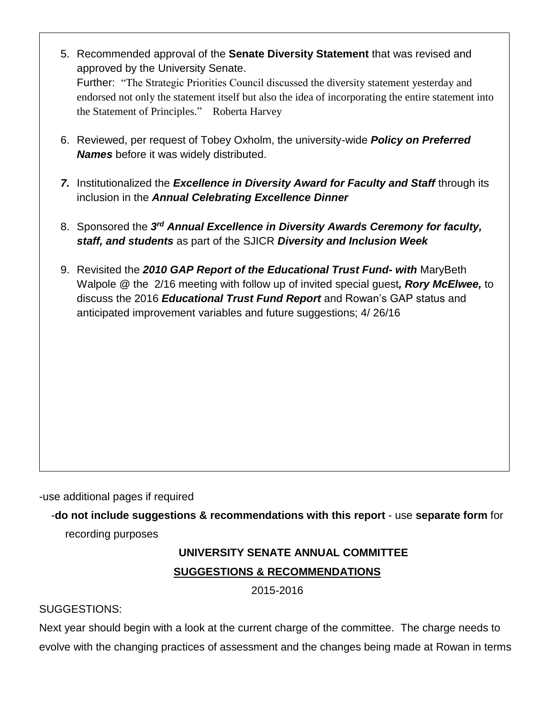| 5. Recommended approval of the Senate Diversity Statement that was revised and<br>approved by the University Senate.                                |
|-----------------------------------------------------------------------------------------------------------------------------------------------------|
| Further: "The Strategic Priorities Council discussed the diversity statement yesterday and                                                          |
| endorsed not only the statement itself but also the idea of incorporating the entire statement into<br>the Statement of Principles." Roberta Harvey |
|                                                                                                                                                     |
| 6. Reviewed, per request of Tobey Oxholm, the university-wide <b>Policy on Preferred</b>                                                            |
| <b>Names</b> before it was widely distributed.                                                                                                      |
| 7. Institutionalized the Excellence in Diversity Award for Faculty and Staff through its                                                            |
| inclusion in the Annual Celebrating Excellence Dinner                                                                                               |
| 8. Sponsored the 3rd Annual Excellence in Diversity Awards Ceremony for faculty,                                                                    |
| staff, and students as part of the SJICR Diversity and Inclusion Week                                                                               |
| 9. Revisited the 2010 GAP Report of the Educational Trust Fund- with MaryBeth                                                                       |
| Walpole @ the 2/16 meeting with follow up of invited special guest, Rory McElwee, to                                                                |
|                                                                                                                                                     |
|                                                                                                                                                     |
|                                                                                                                                                     |
|                                                                                                                                                     |
|                                                                                                                                                     |
|                                                                                                                                                     |
|                                                                                                                                                     |
|                                                                                                                                                     |
| discuss the 2016 Educational Trust Fund Report and Rowan's GAP status and<br>anticipated improvement variables and future suggestions; 4/26/16      |

-use additional pages if required

-**do not include suggestions & recommendations with this report** - use **separate form** for

recording purposes

# **UNIVERSITY SENATE ANNUAL COMMITTEE SUGGESTIONS & RECOMMENDATIONS**

2015-2016

## SUGGESTIONS:

Next year should begin with a look at the current charge of the committee. The charge needs to evolve with the changing practices of assessment and the changes being made at Rowan in terms